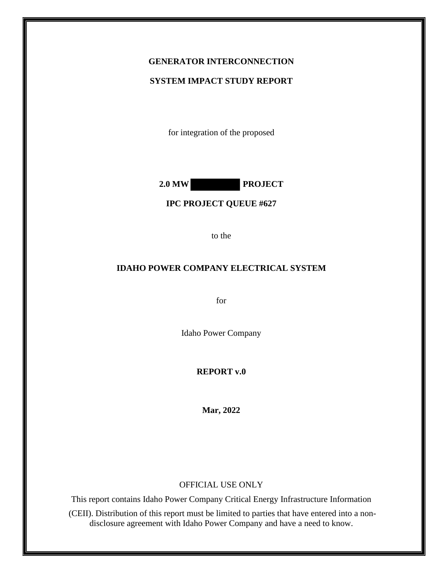## **GENERATOR INTERCONNECTION**

#### **SYSTEM IMPACT STUDY REPORT**

for integration of the proposed

**2.0 MW PROJECT**

#### **IPC PROJECT QUEUE #627**

to the

## **IDAHO POWER COMPANY ELECTRICAL SYSTEM**

for

Idaho Power Company

#### **REPORT v.0**

**Mar, 2022**

#### OFFICIAL USE ONLY

This report contains Idaho Power Company Critical Energy Infrastructure Information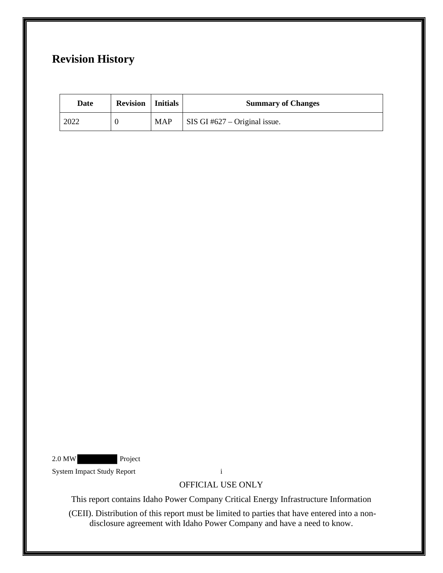# **Revision History**

| Date | <b>Revision</b>   Initials |            | <b>Summary of Changes</b>             |
|------|----------------------------|------------|---------------------------------------|
| 2022 |                            | <b>MAP</b> | $\vert$ SIS GI #627 – Original issue. |

2.0 MW Project

System Impact Study Report i

OFFICIAL USE ONLY

This report contains Idaho Power Company Critical Energy Infrastructure Information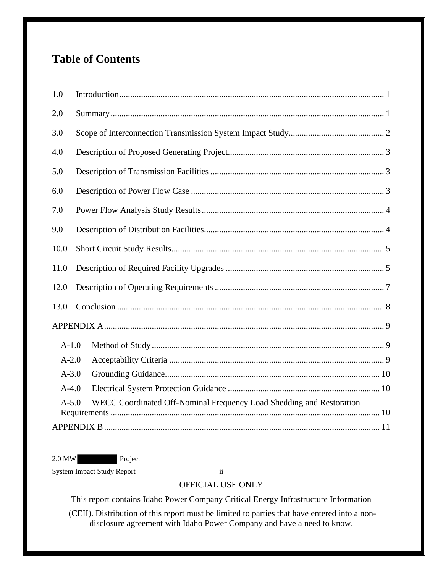# **Table of Contents**

| 6.0                                                                             |  |  |  |
|---------------------------------------------------------------------------------|--|--|--|
| 7.0                                                                             |  |  |  |
| 9.0                                                                             |  |  |  |
| 10.0                                                                            |  |  |  |
| 11.0                                                                            |  |  |  |
| 12.0                                                                            |  |  |  |
| 13.0                                                                            |  |  |  |
|                                                                                 |  |  |  |
| $A-1.0$                                                                         |  |  |  |
| $A-2.0$                                                                         |  |  |  |
| $A-3.0$                                                                         |  |  |  |
| $A-4.0$                                                                         |  |  |  |
| WECC Coordinated Off-Nominal Frequency Load Shedding and Restoration<br>$A-5.0$ |  |  |  |
|                                                                                 |  |  |  |

2.0 MW Project

System Impact Study Report ii

# OFFICIAL USE ONLY

This report contains Idaho Power Company Critical Energy Infrastructure Information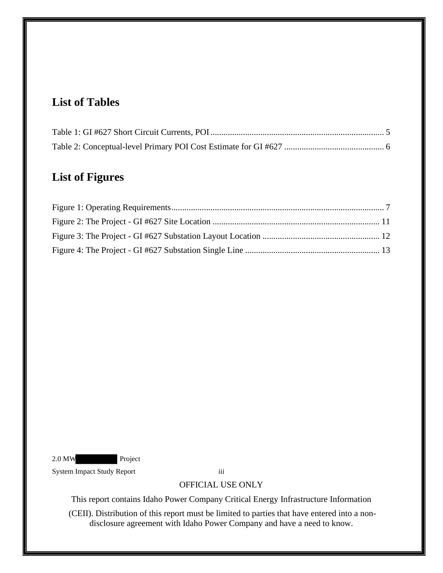# **List of Tables**

# **List of Figures**

2.0 MW Project

System Impact Study Report iii

OFFICIAL USE ONLY

This report contains Idaho Power Company Critical Energy Infrastructure Information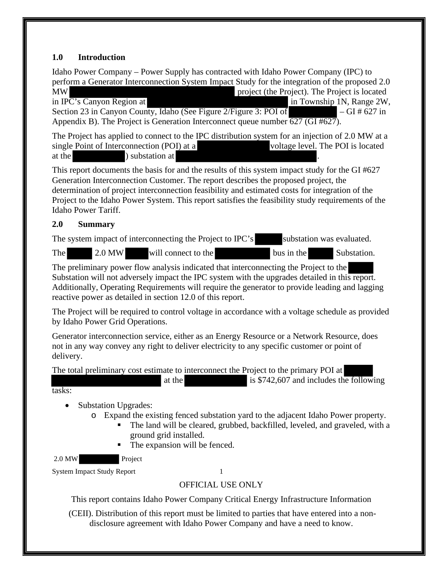# <span id="page-4-0"></span>**1.0 Introduction**

Idaho Power Company – Power Supply has contracted with Idaho Power Company (IPC) to perform a Generator Interconnection System Impact Study for the integration of the proposed 2.0 MW **notation** project (the Project). The Project is located in IPC's Canyon Region at  $\frac{1}{10}$  Section 23 in Canyon County, Idaho (See Figure 2/Figure 3: POI of  $\frac{1}{10}$  – GI # 627 in Section 23 in Canyon County, Idaho (See Figure 2/Figure 3: POI of Appendix B). The Project is Generation Interconnect queue number  $\overline{627}$  (GI #627).

The Project has applied to connect to the IPC distribution system for an injection of 2.0 MW at a single Point of Interconnection (POI) at a voltage level. The POI is located at the **station** ) substation at

This report documents the basis for and the results of this system impact study for the GI #627 Generation Interconnection Customer. The report describes the proposed project, the determination of project interconnection feasibility and estimated costs for integration of the Project to the Idaho Power System. This report satisfies the feasibility study requirements of the Idaho Power Tariff.

# <span id="page-4-1"></span>**2.0 Summary**

The system impact of interconnecting the Project to IPC's substation was evaluated.

The 2.0 MW will connect to the bus in the Substation.

The preliminary power flow analysis indicated that interconnecting the Project to the Substation will not adversely impact the IPC system with the upgrades detailed in this report. Additionally, Operating Requirements will require the generator to provide leading and lagging reactive power as detailed in section 12.0 of this report.

The Project will be required to control voltage in accordance with a voltage schedule as provided by Idaho Power Grid Operations.

Generator interconnection service, either as an Energy Resource or a Network Resource, does not in any way convey any right to deliver electricity to any specific customer or point of delivery.

The total preliminary cost estimate to interconnect the Project to the primary POI at

at the is  $$742,607$  and includes the following tasks:

- Substation Upgrades:
	- o Expand the existing fenced substation yard to the adjacent Idaho Power property.
		- The land will be cleared, grubbed, backfilled, leveled, and graveled, with a ground grid installed.
		- The expansion will be fenced.

2.0 MW Project

System Impact Study Report 1

# OFFICIAL USE ONLY

This report contains Idaho Power Company Critical Energy Infrastructure Information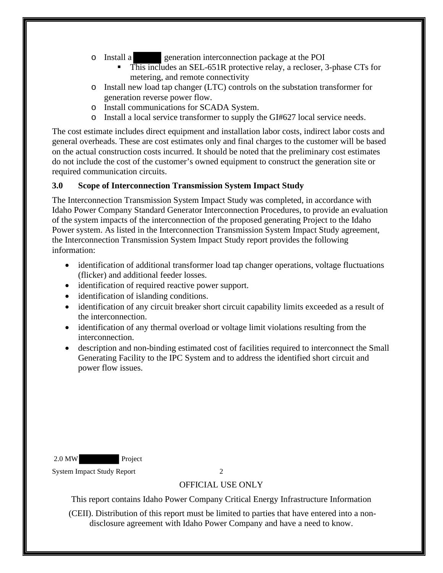- o Install a generation interconnection package at the POI
	- This includes an SEL-651R protective relay, a recloser, 3-phase CTs for metering, and remote connectivity
- o Install new load tap changer (LTC) controls on the substation transformer for generation reverse power flow.
- o Install communications for SCADA System.
- o Install a local service transformer to supply the GI#627 local service needs.

The cost estimate includes direct equipment and installation labor costs, indirect labor costs and general overheads. These are cost estimates only and final charges to the customer will be based on the actual construction costs incurred. It should be noted that the preliminary cost estimates do not include the cost of the customer's owned equipment to construct the generation site or required communication circuits.

## <span id="page-5-0"></span>**3.0 Scope of Interconnection Transmission System Impact Study**

The Interconnection Transmission System Impact Study was completed, in accordance with Idaho Power Company Standard Generator Interconnection Procedures, to provide an evaluation of the system impacts of the interconnection of the proposed generating Project to the Idaho Power system. As listed in the Interconnection Transmission System Impact Study agreement, the Interconnection Transmission System Impact Study report provides the following information:

- identification of additional transformer load tap changer operations, voltage fluctuations (flicker) and additional feeder losses.
- identification of required reactive power support.
- identification of islanding conditions.
- identification of any circuit breaker short circuit capability limits exceeded as a result of the interconnection.
- identification of any thermal overload or voltage limit violations resulting from the interconnection.
- description and non-binding estimated cost of facilities required to interconnect the Small Generating Facility to the IPC System and to address the identified short circuit and power flow issues.

2.0 MW Project

System Impact Study Report 2

## OFFICIAL USE ONLY

This report contains Idaho Power Company Critical Energy Infrastructure Information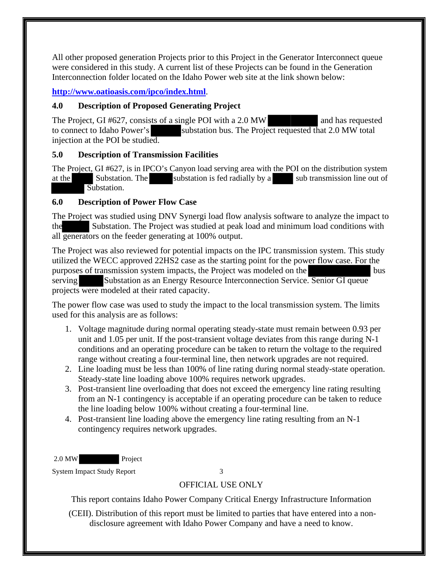All other proposed generation Projects prior to this Project in the Generator Interconnect queue were considered in this study. A current list of these Projects can be found in the Generation Interconnection folder located on the Idaho Power web site at the link shown below:

# **<http://www.oatioasis.com/ipco/index.html>**.

# <span id="page-6-0"></span>**4.0 Description of Proposed Generating Project**

The Project, GI #627, consists of a single POI with a 2.0 MW and has requested to connect to Idaho Power's substation bus. The Project requested that 2.0 MW total injection at the POI be studied.

## <span id="page-6-1"></span>**5.0 Description of Transmission Facilities**

<span id="page-6-2"></span>The Project, GI #627, is in IPCO's Canyon load serving area with the POI on the distribution system at the Substation. The substation is fed radially by a sub transmission line out of Substation.

# **6.0 Description of Power Flow Case**

The Project was studied using DNV Synergi load flow analysis software to analyze the impact to the Substation. The Project was studied at peak load and minimum load conditions with all generators on the feeder generating at 100% output.

The Project was also reviewed for potential impacts on the IPC transmission system. This study utilized the WECC approved 22HS2 case as the starting point for the power flow case. For the purposes of transmission system impacts, the Project was modeled on the bus serving Substation as an Energy Resource Interconnection Service. Senior GI queue projects were modeled at their rated capacity.

The power flow case was used to study the impact to the local transmission system. The limits used for this analysis are as follows:

- 1. Voltage magnitude during normal operating steady-state must remain between 0.93 per unit and 1.05 per unit. If the post-transient voltage deviates from this range during N-1 conditions and an operating procedure can be taken to return the voltage to the required range without creating a four-terminal line, then network upgrades are not required.
- 2. Line loading must be less than 100% of line rating during normal steady-state operation. Steady-state line loading above 100% requires network upgrades.
- 3. Post-transient line overloading that does not exceed the emergency line rating resulting from an N-1 contingency is acceptable if an operating procedure can be taken to reduce the line loading below 100% without creating a four-terminal line.
- 4. Post-transient line loading above the emergency line rating resulting from an N-1 contingency requires network upgrades.

2.0 MW Project

System Impact Study Report 3

# OFFICIAL USE ONLY

This report contains Idaho Power Company Critical Energy Infrastructure Information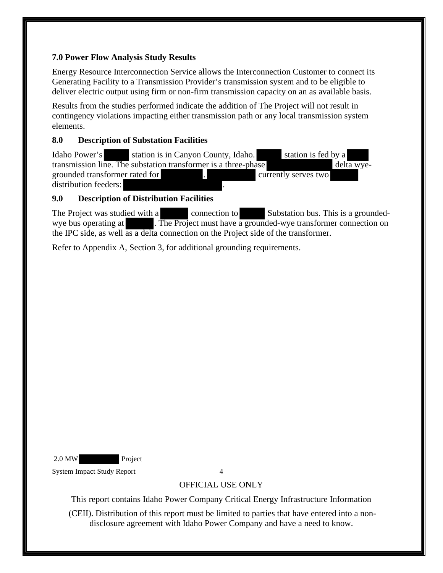## <span id="page-7-0"></span>**7.0 Power Flow Analysis Study Results**

Energy Resource Interconnection Service allows the Interconnection Customer to connect its Generating Facility to a Transmission Provider's transmission system and to be eligible to deliver electric output using firm or non-firm transmission capacity on an as available basis.

Results from the studies performed indicate the addition of The Project will not result in contingency violations impacting either transmission path or any local transmission system elements.

# **8.0 Description of Substation Facilities**

Idaho Power's station is in Canyon County, Idaho. station is fed by a transmission line. The substation transformer is a three-phase delta wyegrounded transformer rated for . The currently serves two currently serves two distribution feeders:

# <span id="page-7-1"></span>**9.0 Description of Distribution Facilities**

The Project was studied with a connection to Substation bus. This is a groundedwye bus operating at . The Project must have a grounded-wye transformer connection on the IPC side, as well as a delta connection on the Project side of the transformer.

Refer to Appendix A, Section 3, for additional grounding requirements.

2.0 MW Project

System Impact Study Report 4

# OFFICIAL USE ONLY

This report contains Idaho Power Company Critical Energy Infrastructure Information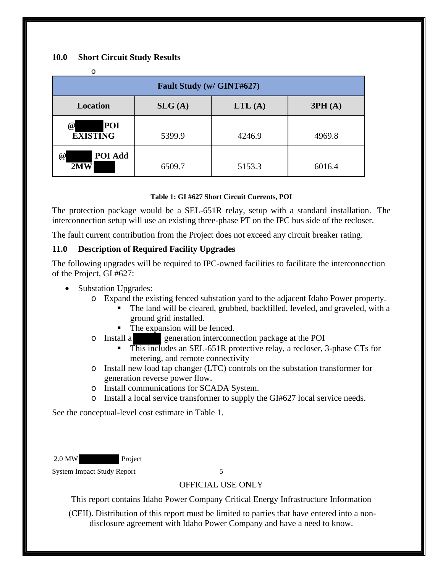#### <span id="page-8-0"></span>**10.0 Short Circuit Study Results**

| Ο                                      |        |        |        |  |  |  |  |
|----------------------------------------|--------|--------|--------|--|--|--|--|
| Fault Study (w/ GINT#627)              |        |        |        |  |  |  |  |
| Location                               | SLG(A) | LTL(A) | 3PH(A) |  |  |  |  |
| POI<br>$\omega$<br><b>EXISTING</b>     | 5399.9 | 4246.9 | 4969.8 |  |  |  |  |
| POI Add<br>$^{\textregistered}$<br>2MW | 6509.7 | 5153.3 | 6016.4 |  |  |  |  |

#### <span id="page-8-2"></span>**Table 1: GI #627 Short Circuit Currents, POI**

The protection package would be a SEL-651R relay, setup with a standard installation. The interconnection setup will use an existing three-phase PT on the IPC bus side of the recloser.

The fault current contribution from the Project does not exceed any circuit breaker rating.

# <span id="page-8-1"></span>**11.0 Description of Required Facility Upgrades**

The following upgrades will be required to IPC-owned facilities to facilitate the interconnection of the Project, GI #627:

- Substation Upgrades:
	- o Expand the existing fenced substation yard to the adjacent Idaho Power property.
		- The land will be cleared, grubbed, backfilled, leveled, and graveled, with a ground grid installed.
		- The expansion will be fenced.
	- o Install a generation interconnection package at the POI
		- This includes an SEL-651R protective relay, a recloser, 3-phase CTs for metering, and remote connectivity
	- o Install new load tap changer (LTC) controls on the substation transformer for generation reverse power flow.
	- o Install communications for SCADA System.
	- o Install a local service transformer to supply the GI#627 local service needs.

See the conceptual-level cost estimate in Table 1.

2.0 MW Project

System Impact Study Report 5

# OFFICIAL USE ONLY

This report contains Idaho Power Company Critical Energy Infrastructure Information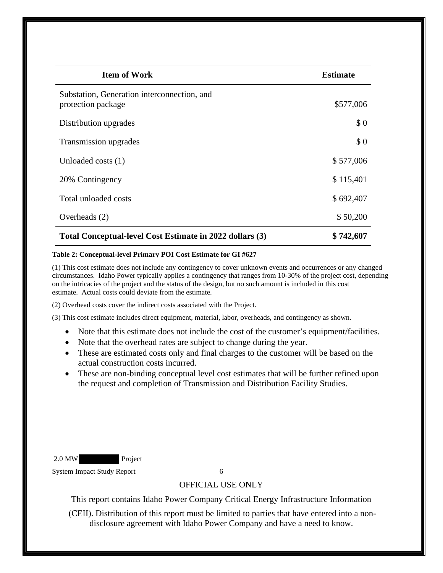| <b>Item of Work</b>                                               | <b>Estimate</b> |
|-------------------------------------------------------------------|-----------------|
| Substation, Generation interconnection, and<br>protection package | \$577,006       |
| Distribution upgrades                                             | \$0             |
| Transmission upgrades                                             | \$0             |
| Unloaded costs (1)                                                | \$577,006       |
| 20% Contingency                                                   | \$115,401       |
| Total unloaded costs                                              | \$692,407       |
| Overheads (2)                                                     | \$50,200        |
| Total Conceptual-level Cost Estimate in 2022 dollars (3)          | \$742,607       |

#### <span id="page-9-0"></span>**Table 2: Conceptual-level Primary POI Cost Estimate for GI #627**

(1) This cost estimate does not include any contingency to cover unknown events and occurrences or any changed circumstances. Idaho Power typically applies a contingency that ranges from 10-30% of the project cost, depending on the intricacies of the project and the status of the design, but no such amount is included in this cost estimate. Actual costs could deviate from the estimate.

(2) Overhead costs cover the indirect costs associated with the Project.

(3) This cost estimate includes direct equipment, material, labor, overheads, and contingency as shown.

- Note that this estimate does not include the cost of the customer's equipment/facilities.
- Note that the overhead rates are subject to change during the year.
- These are estimated costs only and final charges to the customer will be based on the actual construction costs incurred.
- These are non-binding conceptual level cost estimates that will be further refined upon the request and completion of Transmission and Distribution Facility Studies.

2.0 MW Project

System Impact Study Report 6

#### OFFICIAL USE ONLY

This report contains Idaho Power Company Critical Energy Infrastructure Information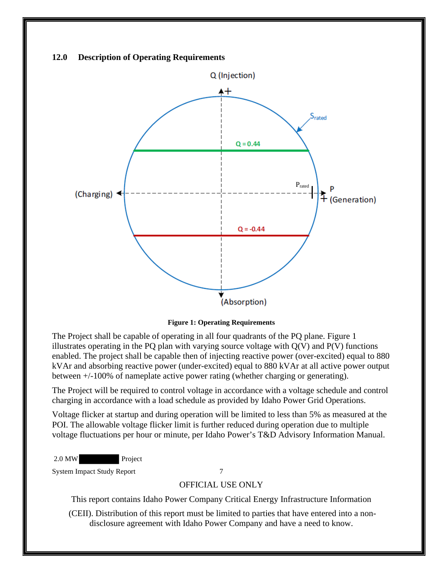<span id="page-10-0"></span>

**Figure 1: Operating Requirements**

<span id="page-10-1"></span>The Project shall be capable of operating in all four quadrants of the PQ plane. Figure 1 illustrates operating in the PQ plan with varying source voltage with  $Q(V)$  and  $P(V)$  functions enabled. The project shall be capable then of injecting reactive power (over-excited) equal to 880 kVAr and absorbing reactive power (under-excited) equal to 880 kVAr at all active power output between +/-100% of nameplate active power rating (whether charging or generating).

The Project will be required to control voltage in accordance with a voltage schedule and control charging in accordance with a load schedule as provided by Idaho Power Grid Operations.

Voltage flicker at startup and during operation will be limited to less than 5% as measured at the POI. The allowable voltage flicker limit is further reduced during operation due to multiple voltage fluctuations per hour or minute, per Idaho Power's T&D Advisory Information Manual.

2.0 MW Project

System Impact Study Report 7

#### OFFICIAL USE ONLY

This report contains Idaho Power Company Critical Energy Infrastructure Information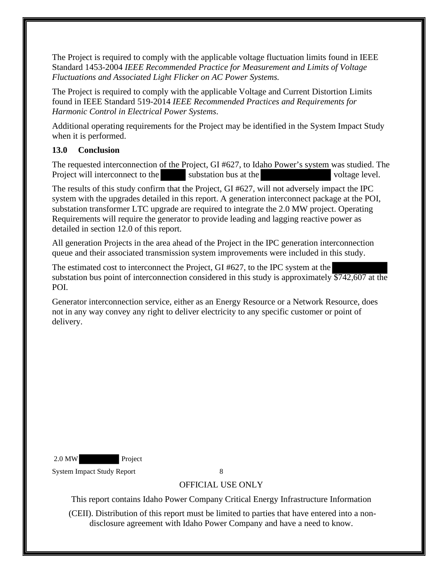The Project is required to comply with the applicable voltage fluctuation limits found in IEEE Standard 1453-2004 *IEEE Recommended Practice for Measurement and Limits of Voltage Fluctuations and Associated Light Flicker on AC Power Systems.* 

The Project is required to comply with the applicable Voltage and Current Distortion Limits found in IEEE Standard 519-2014 *IEEE Recommended Practices and Requirements for Harmonic Control in Electrical Power Systems*.

Additional operating requirements for the Project may be identified in the System Impact Study when it is performed.

# <span id="page-11-0"></span>**13.0 Conclusion**

The requested interconnection of the Project, GI #627, to Idaho Power's system was studied. The Project will interconnect to the substation bus at the voltage level.

The results of this study confirm that the Project, GI #627, will not adversely impact the IPC system with the upgrades detailed in this report. A generation interconnect package at the POI, substation transformer LTC upgrade are required to integrate the 2.0 MW project. Operating Requirements will require the generator to provide leading and lagging reactive power as detailed in section 12.0 of this report.

All generation Projects in the area ahead of the Project in the IPC generation interconnection queue and their associated transmission system improvements were included in this study.

The estimated cost to interconnect the Project, GI #627, to the IPC system at the substation bus point of interconnection considered in this study is approximately  $\overline{$}742,607$  at the POI.

Generator interconnection service, either as an Energy Resource or a Network Resource, does not in any way convey any right to deliver electricity to any specific customer or point of delivery.

2.0 MW Project

System Impact Study Report 8

# OFFICIAL USE ONLY

This report contains Idaho Power Company Critical Energy Infrastructure Information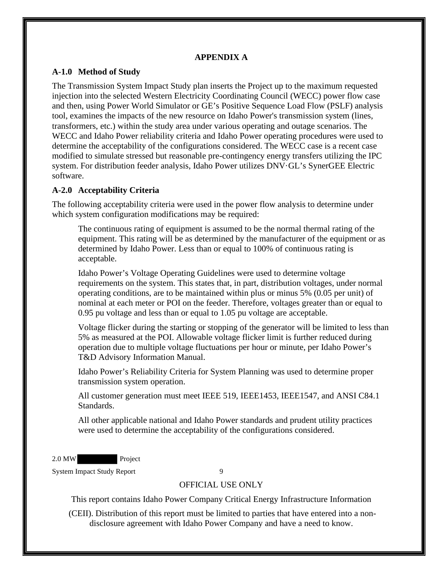#### **APPENDIX A**

#### <span id="page-12-1"></span><span id="page-12-0"></span>**A-1.0 Method of Study**

The Transmission System Impact Study plan inserts the Project up to the maximum requested injection into the selected Western Electricity Coordinating Council (WECC) power flow case and then, using Power World Simulator or GE's Positive Sequence Load Flow (PSLF) analysis tool, examines the impacts of the new resource on Idaho Power's transmission system (lines, transformers, etc.) within the study area under various operating and outage scenarios. The WECC and Idaho Power reliability criteria and Idaho Power operating procedures were used to determine the acceptability of the configurations considered. The WECC case is a recent case modified to simulate stressed but reasonable pre-contingency energy transfers utilizing the IPC system. For distribution feeder analysis, Idaho Power utilizes DNV·GL's SynerGEE Electric software.

#### <span id="page-12-2"></span>**A-2.0 Acceptability Criteria**

The following acceptability criteria were used in the power flow analysis to determine under which system configuration modifications may be required:

The continuous rating of equipment is assumed to be the normal thermal rating of the equipment. This rating will be as determined by the manufacturer of the equipment or as determined by Idaho Power. Less than or equal to 100% of continuous rating is acceptable.

Idaho Power's Voltage Operating Guidelines were used to determine voltage requirements on the system. This states that, in part, distribution voltages, under normal operating conditions, are to be maintained within plus or minus 5% (0.05 per unit) of nominal at each meter or POI on the feeder. Therefore, voltages greater than or equal to 0.95 pu voltage and less than or equal to 1.05 pu voltage are acceptable.

Voltage flicker during the starting or stopping of the generator will be limited to less than 5% as measured at the POI. Allowable voltage flicker limit is further reduced during operation due to multiple voltage fluctuations per hour or minute, per Idaho Power's T&D Advisory Information Manual.

Idaho Power's Reliability Criteria for System Planning was used to determine proper transmission system operation.

All customer generation must meet IEEE 519, IEEE1453, IEEE1547, and ANSI C84.1 Standards.

All other applicable national and Idaho Power standards and prudent utility practices were used to determine the acceptability of the configurations considered.

2.0 MW Project

System Impact Study Report 9

## OFFICIAL USE ONLY

This report contains Idaho Power Company Critical Energy Infrastructure Information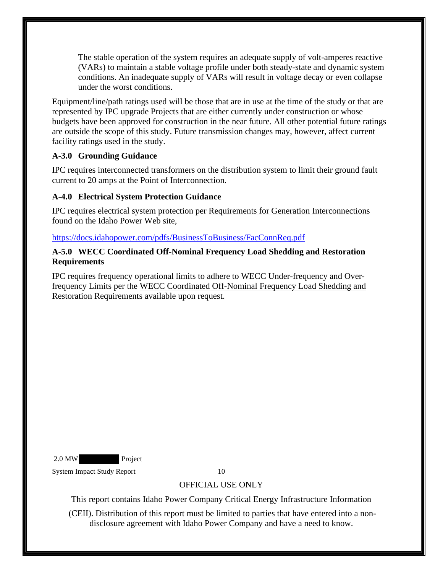The stable operation of the system requires an adequate supply of volt-amperes reactive (VARs) to maintain a stable voltage profile under both steady-state and dynamic system conditions. An inadequate supply of VARs will result in voltage decay or even collapse under the worst conditions.

Equipment/line/path ratings used will be those that are in use at the time of the study or that are represented by IPC upgrade Projects that are either currently under construction or whose budgets have been approved for construction in the near future. All other potential future ratings are outside the scope of this study. Future transmission changes may, however, affect current facility ratings used in the study.

# <span id="page-13-0"></span>**A-3.0 Grounding Guidance**

IPC requires interconnected transformers on the distribution system to limit their ground fault current to 20 amps at the Point of Interconnection.

# <span id="page-13-1"></span>**A-4.0 Electrical System Protection Guidance**

IPC requires electrical system protection per Requirements for Generation Interconnections found on the Idaho Power Web site,

#### <https://docs.idahopower.com/pdfs/BusinessToBusiness/FacConnReq.pdf>

#### <span id="page-13-2"></span>**A-5.0 WECC Coordinated Off-Nominal Frequency Load Shedding and Restoration Requirements**

IPC requires frequency operational limits to adhere to WECC Under-frequency and Overfrequency Limits per the WECC Coordinated Off-Nominal Frequency Load Shedding and Restoration Requirements available upon request.

2.0 MW Project

System Impact Study Report 10

# OFFICIAL USE ONLY

This report contains Idaho Power Company Critical Energy Infrastructure Information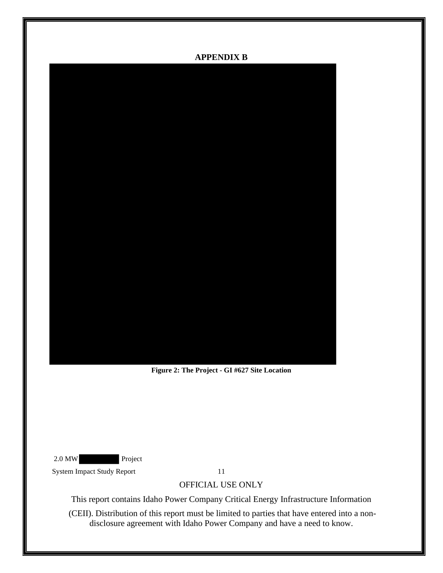#### **APPENDIX B**

<span id="page-14-0"></span>

**Figure 2: The Project - GI #627 Site Location**

<span id="page-14-1"></span>2.0 MW Project

System Impact Study Report 11

OFFICIAL USE ONLY

This report contains Idaho Power Company Critical Energy Infrastructure Information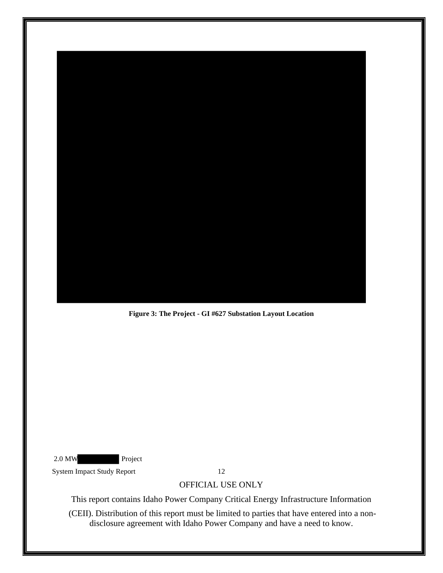

**Figure 3: The Project - GI #627 Substation Layout Location**

<span id="page-15-0"></span>2.0 MW Project

System Impact Study Report 12

#### OFFICIAL USE ONLY

This report contains Idaho Power Company Critical Energy Infrastructure Information